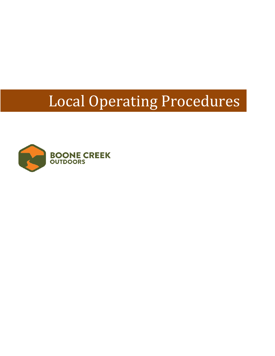# Local Operating Procedures

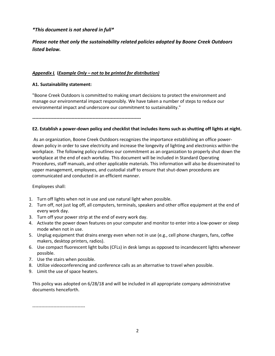# *\*This document is not shared in full\**

# *Please note that only the sustainability related policies adopted by Boone Creek Outdoors listed below.*

# *Appendix L* **(***Example Only – not to be printed for distribution)*

#### **A1. Sustainability statement:**

"Boone Creek Outdoors is committed to making smart decisions to protect the environment and manage our environmental impact responsibly. We have taken a number of steps to reduce our environmental impact and underscore our commitment to sustainability."

**------------------------------------------------------------------------**

### **E2. Establish a power-down policy and checklist that includes items such as shutting off lights at night.**

As an organization, Boone Creek Outdoors recognizes the importance establishing an office powerdown policy in order to save electricity and increase the longevity of lighting and electronics within the workplace. The following policy outlines our commitment as an organization to properly shut down the workplace at the end of each workday. This document will be included in Standard Operating Procedures, staff manuals, and other applicable materials. This information will also be disseminated to upper management, employees, and custodial staff to ensure that shut-down procedures are communicated and conducted in an efficient manner.

Employees shall:

- 1. Turn off lights when not in use and use natural light when possible.
- 2. Turn off, not just log off, all computers, terminals, speakers and other office equipment at the end of every work day.
- 3. Turn off your power strip at the end of every work day.
- 4. Activate the power down features on your computer and monitor to enter into a low-power or sleep mode when not in use.
- 5. Unplug equipment that drains energy even when not in use (e.g., cell phone chargers, fans, coffee makers, desktop printers, radios).
- 6. Use compact fluorescent light bulbs (CFLs) in desk lamps as opposed to incandescent lights whenever possible.
- 7. Use the stairs when possible.
- 8. Utilize videoconferencing and conference calls as an alternative to travel when possible.
- 9. Limit the use of space heaters.

This policy was adopted on 6/28/18 and will be included in all appropriate company administrative documents henceforth.

-----------------------------------